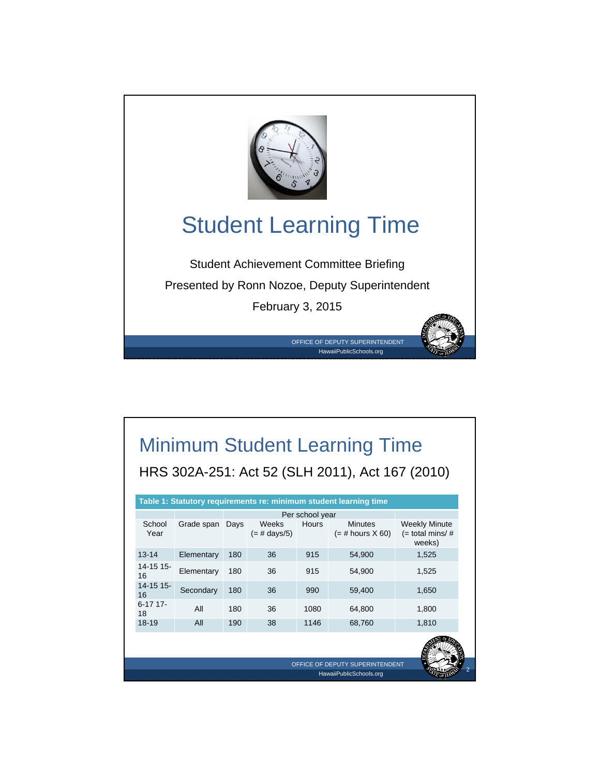

# Minimum Student Learning Time HRS 302A-251: Act 52 (SLH 2011), Act 167 (2010)

|                  |            |      |                         | Per school year |                                                            |                                                     |
|------------------|------------|------|-------------------------|-----------------|------------------------------------------------------------|-----------------------------------------------------|
| School<br>Year   | Grade span | Days | Weeks<br>$(=$ # days/5) | <b>Hours</b>    | <b>Minutes</b><br>$(=\#$ hours $X$ 60)                     | <b>Weekly Minute</b><br>$(=$ total mins/#<br>weeks) |
| $13 - 14$        | Elementary | 180  | 36                      | 915             | 54,900                                                     | 1,525                                               |
| 14-15 15-<br>16  | Elementary | 180  | 36                      | 915             | 54,900                                                     | 1,525                                               |
| 14-15 15-<br>16  | Secondary  | 180  | 36                      | 990             | 59,400                                                     | 1,650                                               |
| $6-17$ 17-<br>18 | All        | 180  | 36                      | 1080            | 64,800                                                     | 1,800                                               |
| $18 - 19$        | All        | 190  | 38                      | 1146            | 68,760                                                     | 1,810                                               |
|                  |            |      |                         |                 |                                                            |                                                     |
|                  |            |      |                         |                 | OFFICE OF DEPUTY SUPERINTENDENT<br>HawaiiPublicSchools.org |                                                     |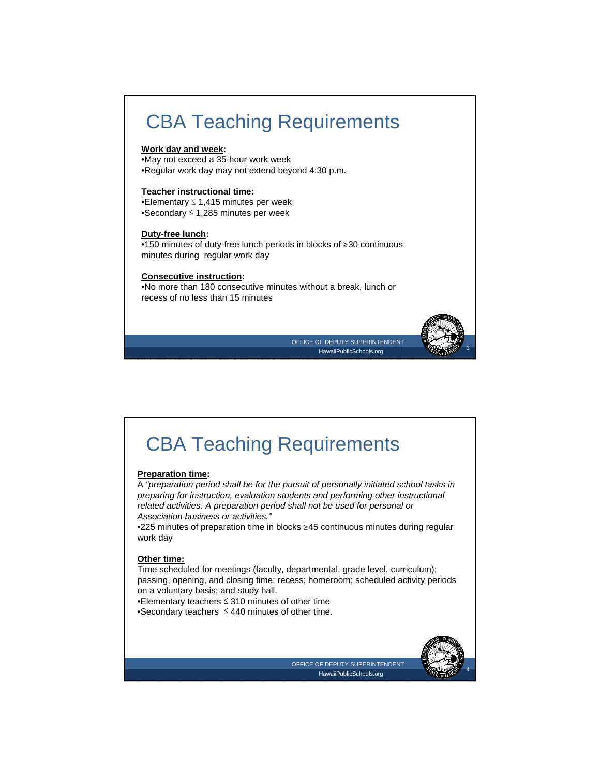# CBA Teaching Requirements

#### **Work day and week:**

•May not exceed a 35-hour work week •Regular work day may not extend beyond 4:30 p.m.

#### **Teacher instructional time:**

•Elementary ≤ 1,415 minutes per week •Secondary ≤ 1,285 minutes per week

#### **Duty-free lunch:**

•150 minutes of duty-free lunch periods in blocks of ≥30 continuous minutes during regular work day

### **Consecutive instruction:**

•No more than 180 consecutive minutes without a break, lunch or recess of no less than 15 minutes



OFFICE OF DEPUTY SUPERINTENDENT HawaiiPublicSchools.org

## CBA Teaching Requirements

### **Preparation time:**

A *"preparation period shall be for the pursuit of personally initiated school tasks in preparing for instruction, evaluation students and performing other instructional related activities. A preparation period shall not be used for personal or Association business or activities."*

•225 minutes of preparation time in blocks ≥45 continuous minutes during regular work day

#### **Other time:**

Time scheduled for meetings (faculty, departmental, grade level, curriculum); passing, opening, and closing time; recess; homeroom; scheduled activity periods on a voluntary basis; and study hall.

•Elementary teachers ≤ 310 minutes of other time

•Secondary teachers ≤ 440 minutes of other time.



OFFICE OF DEPUTY SUPERINTENDENT HawaiiPublicSchools.org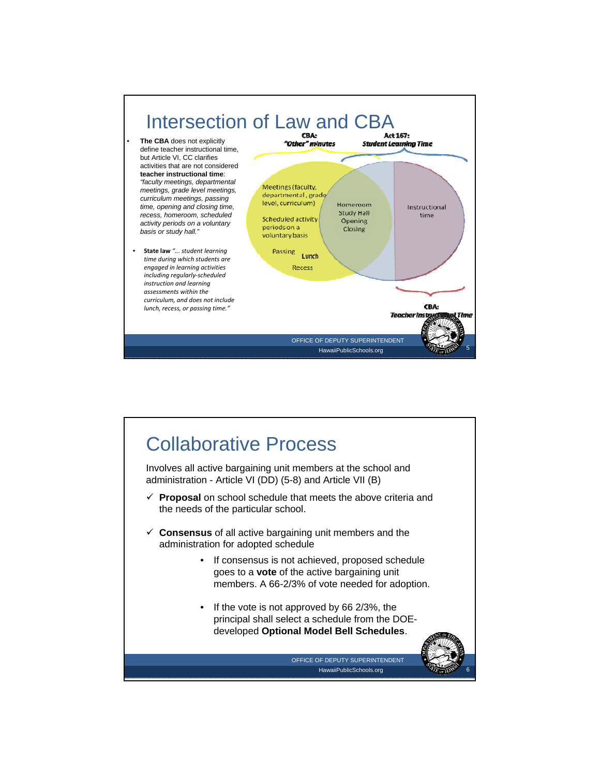

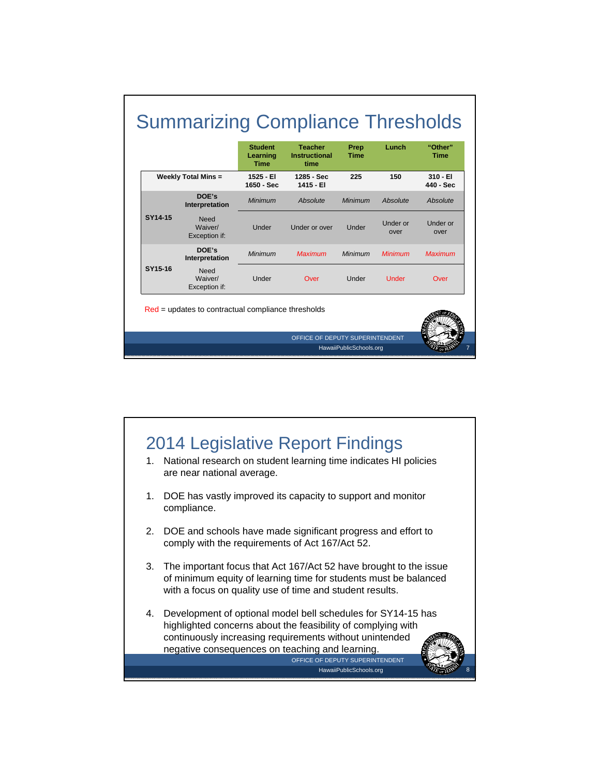

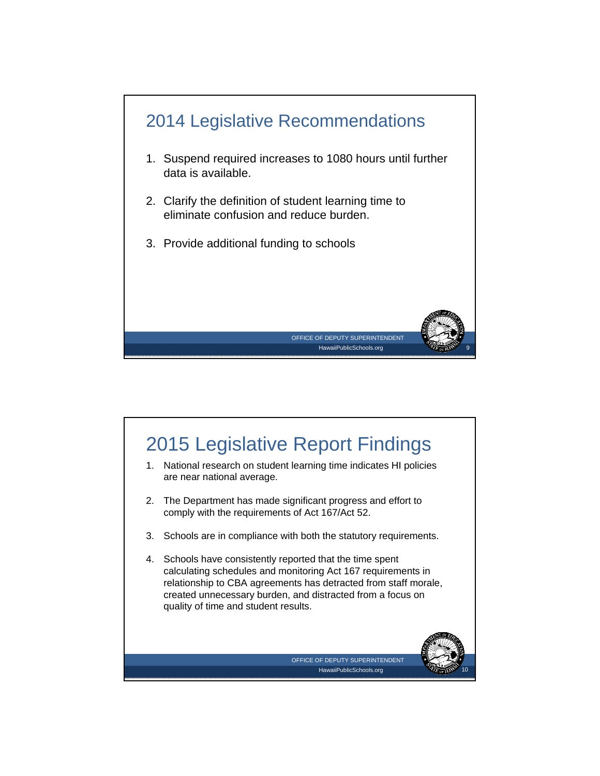

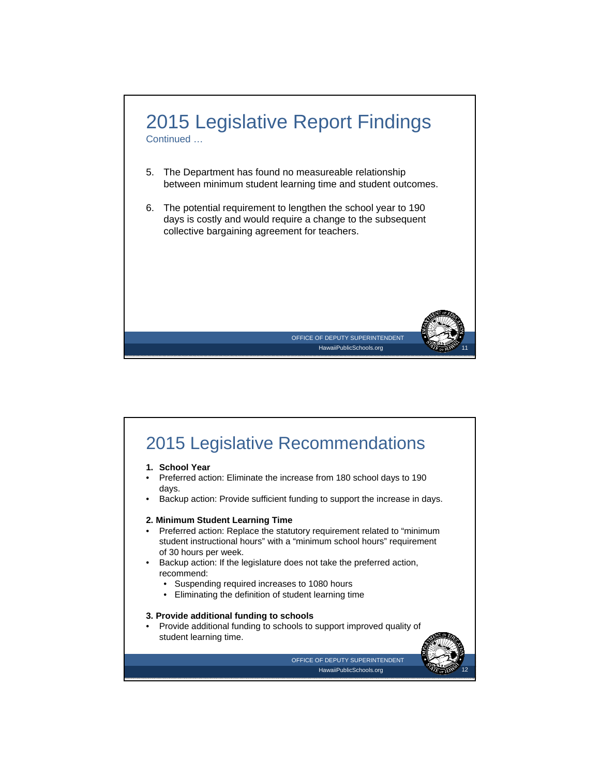

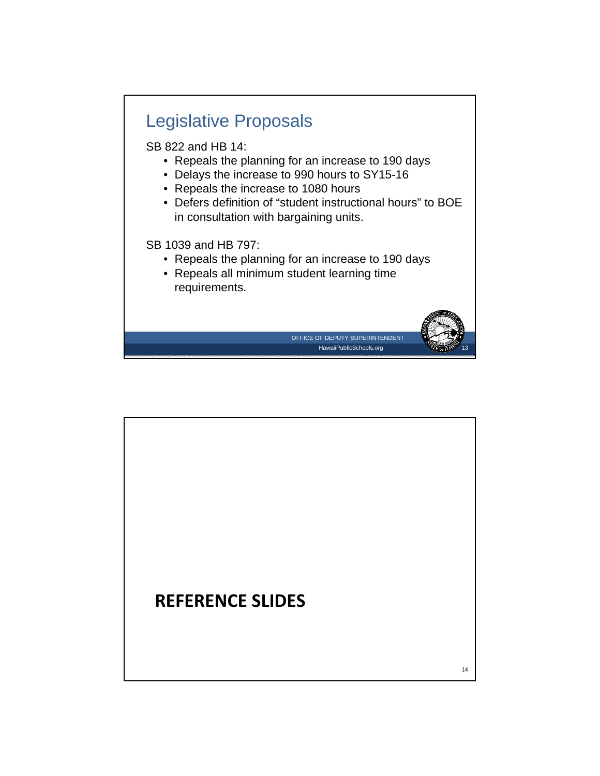

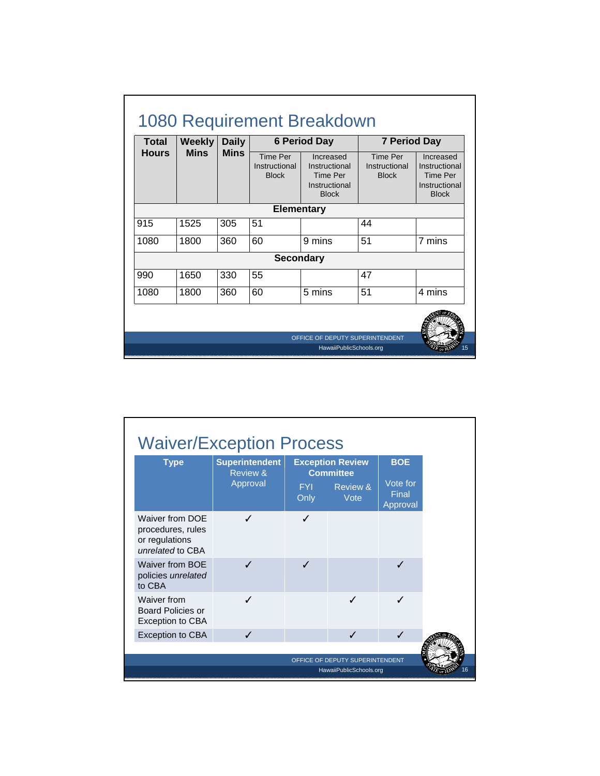| <b>Total</b> | <b>Weekly</b> | <b>Daily</b> | <b>6 Period Day</b>                              |                                                                         |                                                  | <b>7 Period Day</b>                                                            |  |
|--------------|---------------|--------------|--------------------------------------------------|-------------------------------------------------------------------------|--------------------------------------------------|--------------------------------------------------------------------------------|--|
| <b>Hours</b> | <b>Mins</b>   | <b>Mins</b>  | <b>Time Per</b><br>Instructional<br><b>Block</b> | Increased<br>Instructional<br>Time Per<br>Instructional<br><b>Block</b> | <b>Time Per</b><br>Instructional<br><b>Block</b> | Increased<br>Instructional<br><b>Time Per</b><br>Instructional<br><b>Block</b> |  |
|              |               |              | <b>Elementary</b>                                |                                                                         |                                                  |                                                                                |  |
| 915          | 1525          | 305          | 51                                               |                                                                         | 44                                               |                                                                                |  |
| 1080         | 1800          | 360          | 60                                               | 9 mins                                                                  | 51                                               | 7 mins                                                                         |  |
|              |               |              | <b>Secondary</b>                                 |                                                                         |                                                  |                                                                                |  |
| 990          | 1650          | 330          | 55                                               |                                                                         | 47                                               |                                                                                |  |
| 1080         | 1800          | 360          | 60                                               | 5 mins                                                                  | 51                                               | 4 mins                                                                         |  |
|              |               |              |                                                  |                                                                         |                                                  |                                                                                |  |

| Review & |                    | <b>Exception Review</b><br><b>Committee</b> | <b>BOE</b>                    |  |
|----------|--------------------|---------------------------------------------|-------------------------------|--|
| Approval | <b>FYI</b><br>Only | Review &<br>Vote                            | Vote for<br>Final<br>Approval |  |
| J        | ℐ                  |                                             |                               |  |
| ./       | J                  |                                             |                               |  |
| ✓        |                    | ✓                                           | J                             |  |
| ✓        |                    | ℐ                                           | ✓                             |  |
|          |                    |                                             |                               |  |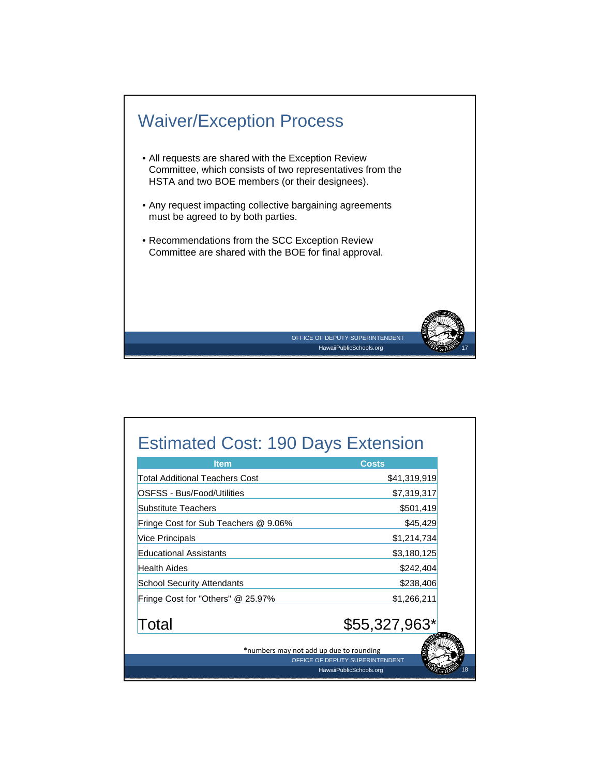

| <b>Item</b>                             | <b>Costs</b>                    |
|-----------------------------------------|---------------------------------|
| Total Additional Teachers Cost          | \$41,319,919                    |
| OSFSS - Bus/Food/Utilities              | \$7,319,317                     |
| Substitute Teachers                     | \$501,419                       |
| Fringe Cost for Sub Teachers @ 9.06%    | \$45,429                        |
| <b>Vice Principals</b>                  | \$1,214,734                     |
| <b>Educational Assistants</b>           | \$3,180,125                     |
| <b>Health Aides</b>                     | \$242,404                       |
| <b>School Security Attendants</b>       | \$238,406                       |
| Fringe Cost for "Others" @ 25.97%       | \$1,266,211                     |
| Total                                   | $$55,327,963*$                  |
| *numbers may not add up due to rounding |                                 |
|                                         | OFFICE OF DEPUTY SUPERINTENDENT |
|                                         | HawaiiPublicSchools.org         |